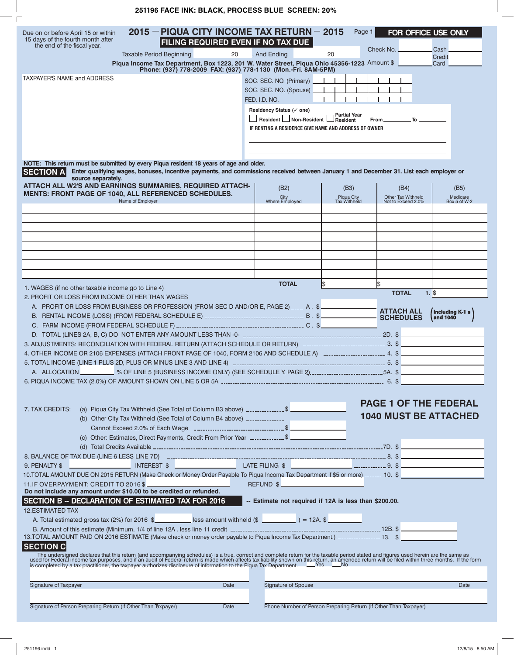## **251196 FACE INK: BLACK, PROCESS BLUE SCREEN: 20%**

| Due on or before April 15 or within<br>15 days of the fourth month after<br>the end of the fiscal year.                                                                                                                       |                  | $2015$ – PIQUA CITY INCOME TAX RETURN – 2015<br>FILING REQUIRED EVEN IF NO TAX DUE                                                     |                                                                          | Page 1                                                           | FOR OFFICE USE ONLY             |                                    |
|-------------------------------------------------------------------------------------------------------------------------------------------------------------------------------------------------------------------------------|------------------|----------------------------------------------------------------------------------------------------------------------------------------|--------------------------------------------------------------------------|------------------------------------------------------------------|---------------------------------|------------------------------------|
|                                                                                                                                                                                                                               |                  | 20<br>Taxable Period Beginning                                                                                                         | And Ending                                                               | 20                                                               | Check No.                       | Cash<br><b>Credit</b>              |
|                                                                                                                                                                                                                               |                  | Piqua Income Tax Department, Box 1223, 201 W. Water Street, Piqua Ohio 45356-1223 Amount \$                                            |                                                                          |                                                                  |                                 | Card                               |
| <b>TAXPAYER'S NAME and ADDRESS</b>                                                                                                                                                                                            |                  | Phone: (937) 778-2009 FAX: (937) 778-1130 (Mon.-Fri. 8AM-5PM)                                                                          |                                                                          |                                                                  |                                 |                                    |
|                                                                                                                                                                                                                               |                  |                                                                                                                                        | SOC. SEC. NO. (Primary)                                                  |                                                                  |                                 |                                    |
|                                                                                                                                                                                                                               |                  |                                                                                                                                        | SOC. SEC. NO. (Spouse)<br>FED. I.D. NO.                                  |                                                                  |                                 |                                    |
|                                                                                                                                                                                                                               |                  |                                                                                                                                        | Residency Status (v one)                                                 |                                                                  |                                 |                                    |
|                                                                                                                                                                                                                               |                  |                                                                                                                                        | $\frac{1}{2}$ Resident $\frac{1}{2}$ Non-Resident $\frac{1}{2}$ Resident | - Partial Year                                                   | $From \_\_$                     |                                    |
|                                                                                                                                                                                                                               |                  |                                                                                                                                        | IF RENTING A RESIDENCE GIVE NAME AND ADDRESS OF OWNER                    |                                                                  |                                 |                                    |
|                                                                                                                                                                                                                               |                  |                                                                                                                                        |                                                                          |                                                                  |                                 |                                    |
|                                                                                                                                                                                                                               |                  |                                                                                                                                        |                                                                          |                                                                  |                                 |                                    |
| NOTE: This return must be submitted by every Piqua resident 18 years of age and older.                                                                                                                                        |                  |                                                                                                                                        |                                                                          |                                                                  |                                 |                                    |
| <b>SECTION A</b>                                                                                                                                                                                                              |                  | Enter qualifying wages, bonuses, incentive payments, and commissions received between January 1 and December 31. List each employer or |                                                                          |                                                                  |                                 |                                    |
| source separately.<br>ATTACH ALL W2'S AND EARNINGS SUMMARIES, REQUIRED ATTACH-                                                                                                                                                |                  |                                                                                                                                        |                                                                          |                                                                  |                                 |                                    |
| MENTS: FRONT PAGE OF 1040, ALL REFERENCED SCHEDULES.                                                                                                                                                                          |                  |                                                                                                                                        | (B2)<br>City                                                             | (B3)<br>Piqua City                                               | (B4)<br>Other Tax Withheld      | (B5)<br>Medicare                   |
|                                                                                                                                                                                                                               | Name of Employer |                                                                                                                                        | Where Employed                                                           | Tax Withheld                                                     | Not to Exceed 2.0%              | Box 5 of W-2                       |
|                                                                                                                                                                                                                               |                  |                                                                                                                                        |                                                                          |                                                                  |                                 |                                    |
|                                                                                                                                                                                                                               |                  |                                                                                                                                        |                                                                          |                                                                  |                                 |                                    |
|                                                                                                                                                                                                                               |                  |                                                                                                                                        |                                                                          |                                                                  |                                 |                                    |
|                                                                                                                                                                                                                               |                  |                                                                                                                                        |                                                                          |                                                                  |                                 |                                    |
|                                                                                                                                                                                                                               |                  |                                                                                                                                        |                                                                          |                                                                  |                                 |                                    |
|                                                                                                                                                                                                                               |                  |                                                                                                                                        |                                                                          |                                                                  |                                 |                                    |
|                                                                                                                                                                                                                               |                  |                                                                                                                                        | <b>TOTAL</b>                                                             | 1\$                                                              | 1\$                             |                                    |
| 1. WAGES (if no other taxable income go to Line 4)                                                                                                                                                                            |                  |                                                                                                                                        |                                                                          |                                                                  | <b>TOTAL</b><br>$1.1$ \$        |                                    |
| 2. PROFIT OR LOSS FROM INCOME OTHER THAN WAGES<br>A. PROFIT OR LOSS FROM BUSINESS OR PROFESSION (FROM SEC D AND/OR E, PAGE 2) _____ A. \$                                                                                     |                  |                                                                                                                                        |                                                                          |                                                                  |                                 |                                    |
|                                                                                                                                                                                                                               |                  |                                                                                                                                        |                                                                          |                                                                  | <b>ATTACH ALL<br/>SCHEDULES</b> | <b>Including K-1 s</b><br>and 1040 |
|                                                                                                                                                                                                                               |                  |                                                                                                                                        |                                                                          |                                                                  |                                 |                                    |
|                                                                                                                                                                                                                               |                  |                                                                                                                                        |                                                                          |                                                                  |                                 |                                    |
|                                                                                                                                                                                                                               |                  |                                                                                                                                        |                                                                          |                                                                  |                                 |                                    |
|                                                                                                                                                                                                                               |                  |                                                                                                                                        |                                                                          |                                                                  |                                 |                                    |
|                                                                                                                                                                                                                               |                  |                                                                                                                                        |                                                                          |                                                                  |                                 |                                    |
|                                                                                                                                                                                                                               |                  |                                                                                                                                        |                                                                          |                                                                  |                                 |                                    |
|                                                                                                                                                                                                                               |                  |                                                                                                                                        |                                                                          |                                                                  |                                 |                                    |
|                                                                                                                                                                                                                               |                  |                                                                                                                                        |                                                                          |                                                                  | <b>PAGE 1 OF THE FEDERAL</b>    |                                    |
| 7. TAX CREDITS:                                                                                                                                                                                                               |                  |                                                                                                                                        |                                                                          |                                                                  | <b>1040 MUST BE ATTACHED</b>    |                                    |
|                                                                                                                                                                                                                               |                  | (b) Other City Tax Withheld (See Total of Column B4 above) _________________                                                           |                                                                          |                                                                  |                                 |                                    |
|                                                                                                                                                                                                                               |                  | (c) Other: Estimates, Direct Payments, Credit From Prior Year _ \$                                                                     |                                                                          |                                                                  |                                 |                                    |
|                                                                                                                                                                                                                               |                  |                                                                                                                                        |                                                                          |                                                                  |                                 |                                    |
|                                                                                                                                                                                                                               |                  |                                                                                                                                        |                                                                          |                                                                  |                                 |                                    |
| 9. PENALTY \$                                                                                                                                                                                                                 |                  |                                                                                                                                        |                                                                          |                                                                  |                                 |                                    |
| 10. TOTAL AMOUNT DUE ON 2015 RETURN (Make Check or Money Order Payable To Piqua Income Tax Department if \$5 or more)  10. \$                                                                                                 |                  |                                                                                                                                        |                                                                          |                                                                  |                                 |                                    |
| 11.IF OVERPAYMENT: CREDIT TO 2016\$<br>Do not include any amount under \$10.00 to be credited or refunded.                                                                                                                    |                  |                                                                                                                                        |                                                                          |                                                                  |                                 |                                    |
| SECTION B -- DECLARATION OF ESTIMATED TAX FOR 2016                                                                                                                                                                            |                  |                                                                                                                                        | -- Estimate not required if 12A is less than \$200.00.                   |                                                                  |                                 |                                    |
| <b>12.ESTIMATED TAX</b>                                                                                                                                                                                                       |                  |                                                                                                                                        |                                                                          |                                                                  |                                 |                                    |
|                                                                                                                                                                                                                               |                  | A. Total estimated gross tax (2%) for 2016 \$                                                                                          |                                                                          |                                                                  |                                 |                                    |
|                                                                                                                                                                                                                               |                  |                                                                                                                                        |                                                                          |                                                                  |                                 |                                    |
| 13. TOTAL AMOUNT PAID ON 2016 ESTIMATE (Make check or money order payable to Piqua Income Tax Department.) ________________13. \$<br><b>SECTION C</b>                                                                         |                  |                                                                                                                                        |                                                                          |                                                                  |                                 |                                    |
|                                                                                                                                                                                                                               |                  |                                                                                                                                        |                                                                          |                                                                  |                                 |                                    |
| The undersigned declares that this return (and accompanying schedules) is a true, correct and complete return for the taxable period stated and figures used herein are the same as used for Federal income tax purposes, and |                  |                                                                                                                                        |                                                                          |                                                                  |                                 |                                    |
|                                                                                                                                                                                                                               |                  |                                                                                                                                        |                                                                          |                                                                  |                                 |                                    |
| Signature of Taxpayer                                                                                                                                                                                                         |                  | Date                                                                                                                                   | Signature of Spouse                                                      |                                                                  |                                 | Date                               |
|                                                                                                                                                                                                                               |                  |                                                                                                                                        |                                                                          |                                                                  |                                 |                                    |
| Signature of Person Preparing Return (If Other Than Taxpayer)                                                                                                                                                                 |                  | Date                                                                                                                                   |                                                                          | Phone Number of Person Preparing Return (If Other Than Taxpayer) |                                 |                                    |